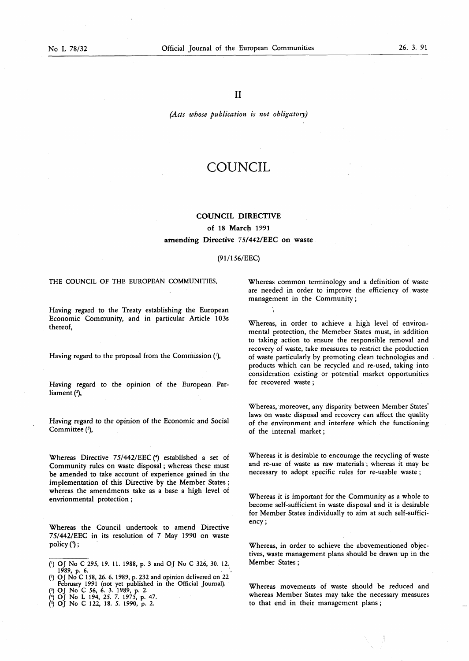# II

(Acts whose publication is not obligatory)

# COUNCIL

## COUNCIL DIRECTIVE

# of 18 March 1991

#### amending Directive 75/442/EEC on waste

# (91 / 156/EEC)

THE COUNCIL OF THE EUROPEAN COMMUNITIES,

Having regard to the Treaty establishing the European Economic Community, and in particular Article 103s thereof,

Having regard to the proposal from the Commission ('),

Having regard to the opinion of the European Parliament (2),

Having regard to the opinion of the Economic and Social Committee (3),

Whereas Directive 75/442/EEC (4) established a set of Community rules on waste disposal ; whereas these must be amended to take account of experience gained in the implementation of this Directive by the Member States ; whereas the amendments take as a base a high level of envrionmental protection ;

Whereas the Council undertook to amend Directive 75/442/EEC in its resolution of 7 May 1990 on waste policy  $($ <sup>3</sup>);

(3) OJ No C 56, 6. 3 . 1989, p. 2.

(4) OJ No L 194, 25. 7. 1975, p. 47. h OJ No <sup>C</sup> 122, <sup>18</sup> . 5. 1990, p. 2.

Whereas common terminology and a definition of waste are needed in order to improve the efficiency of waste management in the Community ;

Whereas, in order to achieve a high level of environmental protection, the Memeber States must, in addition to taking action to ensure the responsible removal and recovery of waste, take measures to restrict the production of waste particularly by promoting clean technologies and products which can be recycled and re-used, taking into consideration existing or potential market opportunities for recovered waste ;

Whereas, moreover, any disparity between Member States' laws on waste disposal and recovery can affect the quality of the environment and interfere which the functioning of the internal market ;

Whereas it is desirable to encourage the recycling of waste and re-use of waste as raw materials ; whereas it may be necessary to adopt specific rules for re-usable waste ;

Whereas it is important for the Community as a whole to become self-sufficient in waste disposal and it is desirable for Member States individually to aim at such self-sufficiency ;

Whereas, in order to achieve the abovementioned objectives, waste management plans should be drawn up in the Member States ;

Whereas movements of waste should be reduced and whereas Member States may take the necessary measures to that end in their management plans ;

<sup>(&#</sup>x27;) OJ No C 295, 19. 11. 1988, p. 3 and OJ No C 326, 30. 12. 1989, p. 6. (2) OJ No C 158, 26. 6. 1989, p. 232 and opinion delivered on 22

February 1991 (not yet published in the Official Journal).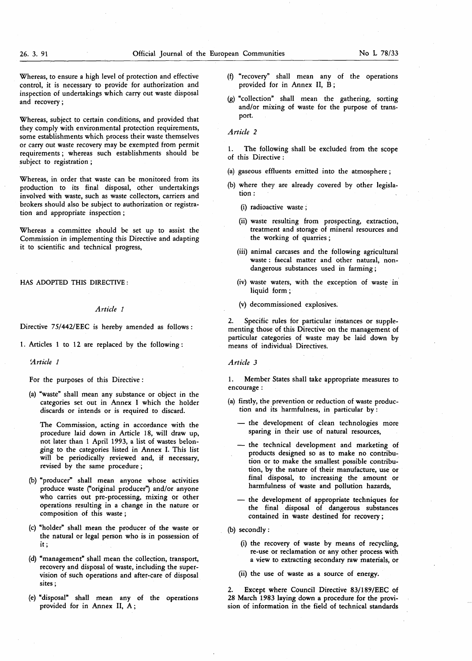Whereas, to ensure a high level of protection and effective control, it is necessary to provide for authorization and inspection of undertakings which carry out waste disposal and recovery ;

Whereas, subject to certain conditions, and provided that they comply with environmental protection requirements, some establishments which process their waste themselves or carry out waste recovery may be exempted from permit requirements ; whereas such establishments should be subject to registration ;

Whereas, in order that waste can be monitored from its production to its final disposal, other undertakings involved with waste, such as waste collectors, carriers and brokers should also be subject to authorization or registration and appropriate inspection ;

Whereas a committee should be set up to assist the Commission in implementing this Directive and adapting it to scientific and technical progress,

HAS ADOPTED THIS DIRECTIVE :

# Article <sup>1</sup>

Directive 75/442/EEC is hereby amended as follows :

1. Articles 1 to 12 are replaced by the following:

Article <sup>1</sup>

For the purposes of this Directive :

(a) "waste" shall mean any substance or object in the categories set out in Annex I which the holder discards or intends or is required to discard.

The Commission, acting in accordance with the procedure laid down in Article 18, will draw up, not later than <sup>1</sup> April 1993, a list of wastes belonging to the categories listed in Annex I. This list will be periodically reviewed and, if necessary, revised by the same procedure ;

- (b) "producer" shall mean anyone whose activities produce waste ("original producer") and/or anyone who carries out pre-processing, mixing or other operations resulting in a change in the nature or composition of this waste ;
- (c) "holder" shall mean the producer of the waste or the natural or legal person who is in possession of it ;
- (d) "management" shall mean the collection, transport, recovery and disposal of waste, including the supervision of such operations and after-care of disposal sites ;
- (e) "disposal" shall mean any of the operations provided for in Annex II, A ;
- (f) "recovery" shall mean any of the operations provided for in Annex II, B ;
- (g) "collection" shall mean the gathering, sorting and/or mixing of waste for the purpose of transport.

Article 2

- 1. The following shall be excluded from the scope of this Directive :
- (a) gaseous effluents emitted into the atmosphere ;
- (b) where they are already covered by other legislation :
	- (i) radioactive waste ;
	- (ii) waste resulting from prospecting, extraction, treatment and storage of mineral resources and the working of quarries ;
	- (iii) animal carcases and the following agricultural waste : faecal matter and other natural, nondangerous substances used in farming ;
	- (iv) waste waters, with the exception of waste in liquid form ;
	- (v) decommissioned explosives.

2. Specific rules for particular instances or supplementing those of this Directive on the management of particular categories of waste may be laid down by means of individual Directives.

Article 3

1. Member States shall take appropriate measures to encourage :

- (a) firstly, the prevention or reduction of waste production and its harmfulness, in particular by :
	- the development of clean technologies more sparing in their use of natural resources,
	- the technical development and marketing of products designed so as to make no contribution or to make the smallest possible contribution, by the nature of their manufacture, use or final disposal, to increasing the amount or harmfulness of waste and pollution hazards,
	- the development of appropriate techniques for the final disposal of dangerous substances contained in waste destined for recovery ;
- (b) secondly :
	- (i) the recovery of waste by means of recycling, re-use or reclamation or any other process with a view to extracting secondary raw materials, or

(ii) the use of waste as a source of energy.

2. Except where Council Directive 83/189/EEC of 28 March 1983 laying down a procedure for the provision of information in the field of technical standards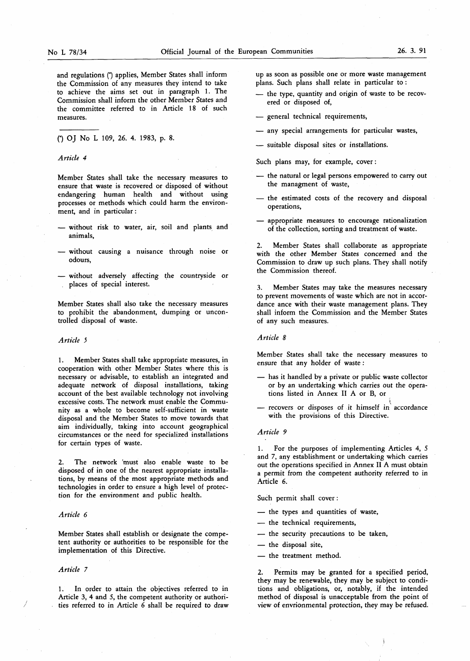and regulations (\*) applies, Member States shall inform the Commission of any measures they intend to take to achieve the aims set out in paragraph 1. The Commission shall inform the other Member States and the committee referred to in Article 18 of such measures.

0 OJ No <sup>L</sup> 109, 26. 4. 1983, p. 8.

#### Article 4

Member States shall take the necessary measures to ensure that waste is recovered or disposed of without endangering human health and without using processes or methods which could harm the environment, and in particular :

- without risk to water, air, soil and plants and animals,
- without causing a nuisance through noise or odours,
- without adversely affecting the countryside or places of special interest

Member States shall also take the necessary measures to prohibit the abandonment, dumping or uncontrolled disposal of waste.

#### Article 5

1. Member States shall take appropriate measures, in cooperation with other Member States where this is necessary or advisable, to establish an integrated and adequate network of disposal installations, taking account of the best available technology not involving excessive costs. The network must enable the Community as a whole to become self-sufficient in waste disposal and the Member States to move towards that aim individually, taking into account geographical circumstances or the need for specialized installations for certain types of waste.

2. The network must also enable waste to be disposed of in one of the nearest appropriate installations, by means of the most appropriate methods and technologies in order to ensure a high level of protection for the environment and public health.

# Article 6

Member States shall establish or designate the competent authority or authorities to be responsible for the implementation of this Directive.

Article 7

1. In order to attain the objectives referred to in Article 3, 4 and 5, the competent authority or authorities referred to in Article 6 shall be required to draw

up as soon as possible one or more waste management plans. Such plans shall relate in particular to :

- the type, quantity and origin of waste to be recovered or disposed of,
- general technical requirements,
- any special arrangements for particular wastes,
- suitable disposal sites or installations.

Such plans may, for example, cover :

- the natural or legal persons empowered to carry out the managment of waste,
- the estimated costs of the recovery and disposal operations,
- appropriate measures to encourage rationalization of the collection, sorting and treatment of waste.

2. Member States shall collaborate as appropriate with the other Member States concerned and the Commission to draw up such plans. They shall notify the Commission thereof.

3. Member States may take the measures necessary to prevent movements of waste which are not in accordance ance with their waste management plans. They shall inform the Commission and the Member States of any such measures.

#### Article 8

Member States shall take the necessary measures to ensure that any holder of waste :

- has it handled by a private or public waste collector or by an undertaking which carries out the operations listed in Annex II A or B, or
- recovers or disposes of it himself in accordance with the provisions of this Directive.

## Article 9

1. For the purposes of implementing Articles 4, 5 and 7, any establishment or undertaking which carries out the operations specified in Annex II A must obtain a permit from the competent authority referred to in Article 6.

Such permit shall cover :

- the types and quantities of waste,
- the technical requirements,
- the security precautions to be taken,
- the disposal site,
- the treatment method.

2. Permits may be granted for a specified period, they may be renewable, they may be subject to conditions and obligations, or, notably, if the intended method of disposal is unacceptable from the point of view of envrionmental protection, they may be refused.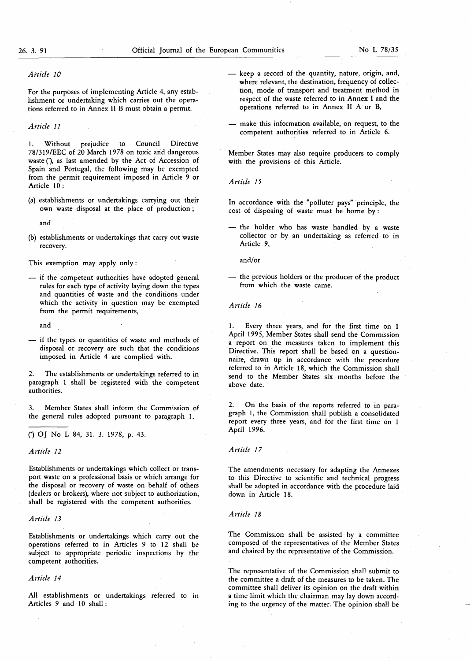#### Article 10

For the purposes of implementing Article 4, any establishment or undertaking which carries out the operations referred to in Annex II B must obtain a permit.

Article 11

1. Without prejudice to Council Directive 78/319/EEC of 20 March 1978 on toxic and dangerous waste (\*), as last amended by the Act of Accession of Spain and Portugal, the following may be exempted from the permit requirement imposed in Article 9 or Article 10 :

(a) establishments or undertakings carrying out their own waste disposal at the place of production ;

and

(b) establishments or undertakings that carry out waste recovery.

This exemption may apply only :

— if the competent authorities have adopted general rules for each type of activity laying down the types and quantities of waste and the conditions under which the activity in question may be exempted from the permit requirements,

and

— if the types or quantities of waste and methods of disposal or recovery are such that the conditions imposed in Article 4 are complied with.

The establishments or undertakings referred to in paragraph <sup>1</sup> shall be registered with the competent authorities.

Member States shall inform the Commission of the general rules adopted pursuant to paragraph 1.

0 OJ No <sup>L</sup> 84, <sup>31</sup> . <sup>3</sup> . 1978, p. 43.

Article 12

Establishments or undertakings which collect or transport waste on a professional basis or which arrange for the disposal or recovery of waste on behalf of others (dealers or brokers), where not subject to authorization, shall be registered with the competent authorities.

## Article 13

Establishments or undertakings which carry out the operations referred to in Articles 9 to 12 shall be subject to appropriate periodic inspections by the competent authorities.

### Article 14

All establishments or undertakings referred to in Articles 9 and 10 shall :

- keep a record of the quantity, nature, origin, and, where relevant, the destination, frequency of collection, mode of transport and treatment method in respect of the waste referred to in Annex I and the operations referred to in Annex II A or B,
- make this information available, on request, to the competent authorities referred to in Article 6.

Member States may also require producers to comply with the provisions of this Article.

Article 15

In accordance with the "polluter pays" principle, the cost of disposing of waste must be borne by :

— the holder who has waste handled by a waste collector or by an undertaking as referred to in Article 9,

and/or

— the previous holders or the producer of the product from which the waste came.

## Article 16

Every three years, and for the first time on 1 April 1995, Member States shall send the Commission a report on the measures taken to implement this Directive. This report shall be based on a questionnaire, drawn up in accordance with the procedure referred to in Article 18, which the Commission shall send to the Member States six months before the above date.

2. On the basis of the reports referred to in paragraph 1, the Commission shall publish a consolidated report every three years, and for the first time on <sup>1</sup> April 1996.

# Article 17

The amendments necessary for adapting the Annexes to this Directive to scientific and technical progress shall be adopted in accordance with the procedure laid down in Article 18.

#### Article 18

The Commission shall be assisted by a committee composed of the representatives of the Member States and chaired by the representative of the Commission.

The representative of the Commission shall submit to the committee a draft of the measures to be taken. The committee shall deliver its opinion on the draft within a time limit which the chairman may lay down according to the urgency of the matter. The opinion shall be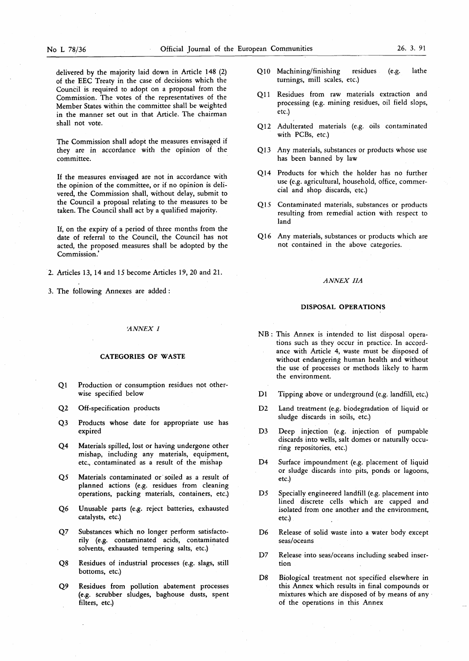delivered by the majority laid down in Article 148 (2) of the EEC Treaty in the case of decisions which the Council is required to adopt on a proposal from the Commission. The votes of the representatives of the Member States within the committee shall be weighted in the manner set out in that Article. The chairman shall not vote.

The Commission shall adopt the measures envisaged if they are in accordance with the opinion of the committee.

If the measures envisaged are not in accordance with the opinion of the committee, or if no opinion is delivered, the Commission shall, without delay, submit to the Council a proposal relating to the measures to be taken. The Council shall act by a qualified majority.

If, on the expiry of a period of three months from the date of referral to the Council, the Council has not acted, the proposed measures shall be adopted by the Commission.'

- 2. Articles 13, 14 and 15 become Articles 19, 20 and 21 .
- 3. The following Annexes are added:

### ANNEX I

## CATEGORIES OF WASTE

- Q1 Production of consumption residues not otherwise specified below
- Q2 Off-specification products
- Q3 Products whose date for appropriate use has expired
- Q4 Materials spilled, lost or having undergone other mishap, including any materials, equipment, etc., contaminated as a result of the mishap
- Q5 Materials contaminated or soiled as a result of planned actions (e.g. residues from cleaning operations, packing materials, containers, etc.)
- Q6 Unusable parts (e.g. reject batteries, exhausted catalysts, etc.)
- Q7 Substances which no longer perform satisfactorily (e.g. contaminated acids, contaminated solvents, exhausted tempering salts, etc.)
- Q8 Residues of industrial processes (e.g. slags, still bottoms, etc.)
- Q9 Residues from pollution abatement processes (e.g. scrubber sludges, baghouse dusts, spent filters, etc.)
- Q10 Machining/finishing residues (e.g. lathe turnings, mill scales, etc.)
- Q11 Residues from raw materials extraction and processing (e.g. mining residues, oil field slops, etc.)
- Q12 Adulterated materials (e.g. oils contaminated with PCBs, etc.)
- Q13 Any materials, substances or products whose use has been banned by law
- Q14 Products for which the holder has no further use (e.g. agricultural, household, office, commercial and shop discards, etc.)
- Q15 Contaminated materials, substances or products resulting from remedial action with respect to land
- Q16 Any materials, substances or products which are not contained in the above categories.

## ANNEX IIA

#### DISPOSAL OPERATIONS

- NB : This Annex is intended to list disposal operations such as they occur in practice. In accordance with Article 4, waste must be disposed of without endangering human health and without the use of processes or methods likely to harm the environment.
- D1 Tipping above or underground (e.g. landfill, etc.)
- D2 Land treatment (e.g. biodegradation of liquid or sludge discards in soils, etc.)
- D3 Deep injection (e.g. injection of pumpable discards into wells, salt domes or naturally occuring repositories, etc.)
- D4 Surface impoundment (e.g. placement of liquid or sludge discards into pits, ponds or lagoons, etc.)
- D5 Specially engineered landfill (e.g. placement into lined discrete cells which are capped and isolated from one another and the environment, etc.)
- D6 Release of solid waste into a water body except seas/oceans
- D7 Release into seas/oceans including seabed insertion
- D8 Biological treatment not specified elsewhere in this Annex which results in final compounds or mixtures which are disposed of by means of any of the operations in this Annex